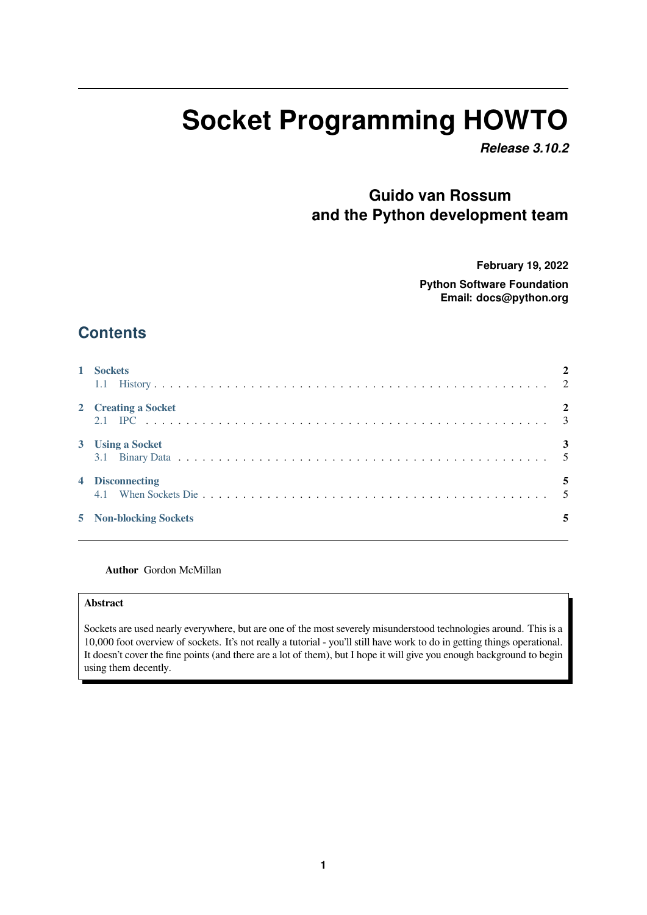# **Socket Programming HOWTO**

*Release 3.10.2*

# **Guido van Rossum and the Python development team**

**February 19, 2022**

**Python Software Foundation Email: docs@python.org**

# **Contents**

| 1 Sockets              |  |
|------------------------|--|
| 2 Creating a Socket    |  |
| 3 Using a Socket       |  |
| 4 Disconnecting        |  |
| 5 Non-blocking Sockets |  |

#### **Author** [Gordon McM](#page-4-1)illan

#### **Abstract**

Sockets are used nearly everywhere, but are one of the most severely misunderstood technologies around. This is a 10,000 foot overview of sockets. It's not really a tutorial - you'll still have work to do in getting things operational. It doesn't cover the fine points (and there are a lot of them), but I hope it will give you enough background to begin using them decently.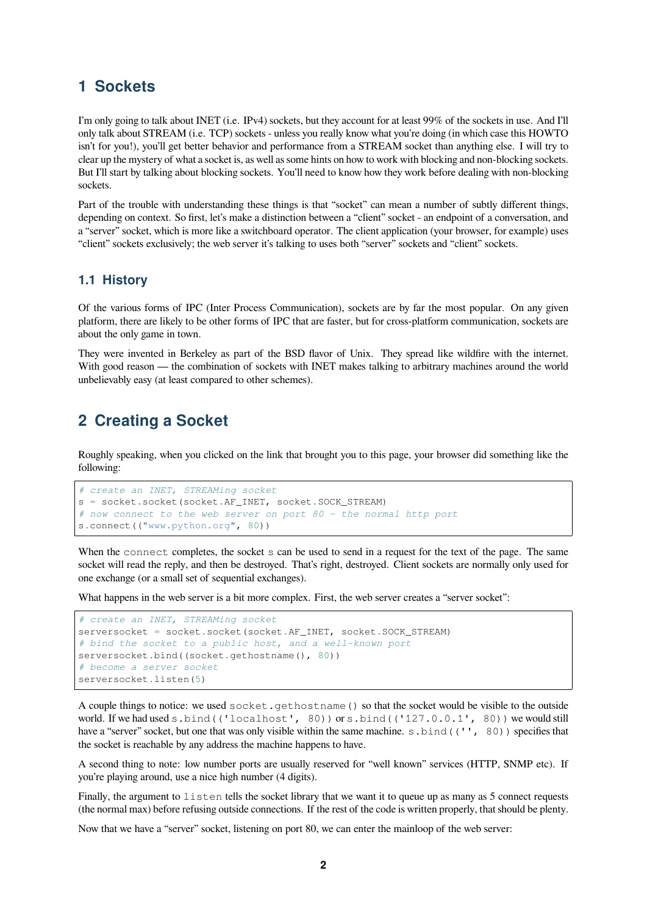## <span id="page-1-0"></span>**1 Sockets**

I'm only going to talk about INET (i.e. IPv4) sockets, but they account for at least 99% of the sockets in use. And I'll only talk about STREAM (i.e. TCP) sockets - unless you really know what you're doing (in which case this HOWTO isn't for you!), you'll get better behavior and performance from a STREAM socket than anything else. I will try to clear up the mystery of what a socket is, as well as some hints on how to work with blocking and non-blocking sockets. But I'll start by talking about blocking sockets. You'll need to know how they work before dealing with non-blocking sockets.

Part of the trouble with understanding these things is that "socket" can mean a number of subtly different things, depending on context. So first, let's make a distinction between a "client" socket - an endpoint of a conversation, and a "server" socket, which is more like a switchboard operator. The client application (your browser, for example) uses "client" sockets exclusively; the web server it's talking to uses both "server" sockets and "client" sockets.

#### <span id="page-1-1"></span>**1.1 History**

Of the various forms of IPC (Inter Process Communication), sockets are by far the most popular. On any given platform, there are likely to be other forms of IPC that are faster, but for cross-platform communication, sockets are about the only game in town.

They were invented in Berkeley as part of the BSD flavor of Unix. They spread like wildfire with the internet. With good reason — the combination of sockets with INET makes talking to arbitrary machines around the world unbelievably easy (at least compared to other schemes).

# <span id="page-1-2"></span>**2 Creating a Socket**

Roughly speaking, when you clicked on the link that brought you to this page, your browser did something like the following:

```
# create an INET, STREAMing socket
s = socket.socket(socket.AF_INET, socket.SOCK_STREAM)
# now connect to the web server on port 80 - the normal http port
s.connect(("www.python.org", 80))
```
When the connect completes, the socket s can be used to send in a request for the text of the page. The same socket will read the reply, and then be destroyed. That's right, destroyed. Client sockets are normally only used for one exchange (or a small set of sequential exchanges).

What happens in the web server is a bit more complex. First, the web server creates a "server socket":

```
# create an INET, STREAMing socket
serversocket = socket.socket(socket.AF_INET, socket.SOCK_STREAM)
# bind the socket to a public host, and a well-known port
serversocket.bind((socket.gethostname(), 80))
# become a server socket
serversocket.listen(5)
```
A couple things to notice: we used socket.gethostname() so that the socket would be visible to the outside world. If we had used s.bind(('localhost', 80)) or s.bind(('127.0.0.1', 80)) we would still have a "server" socket, but one that was only visible within the same machine. s.bind(('', 80)) specifies that the socket is reachable by any address the machine happens to have.

A second thing to note: low number ports are usually reserved for "well known" services (HTTP, SNMP etc). If you're playing around, use a nice high number (4 digits).

Finally, the argument to listen tells the socket library that we want it to queue up as many as 5 connect requests (the normal max) before refusing outside connections. If the rest of the code is written properly, that should be plenty.

Now that we have a "server" socket, listening on port 80, we can enter the mainloop of the web server: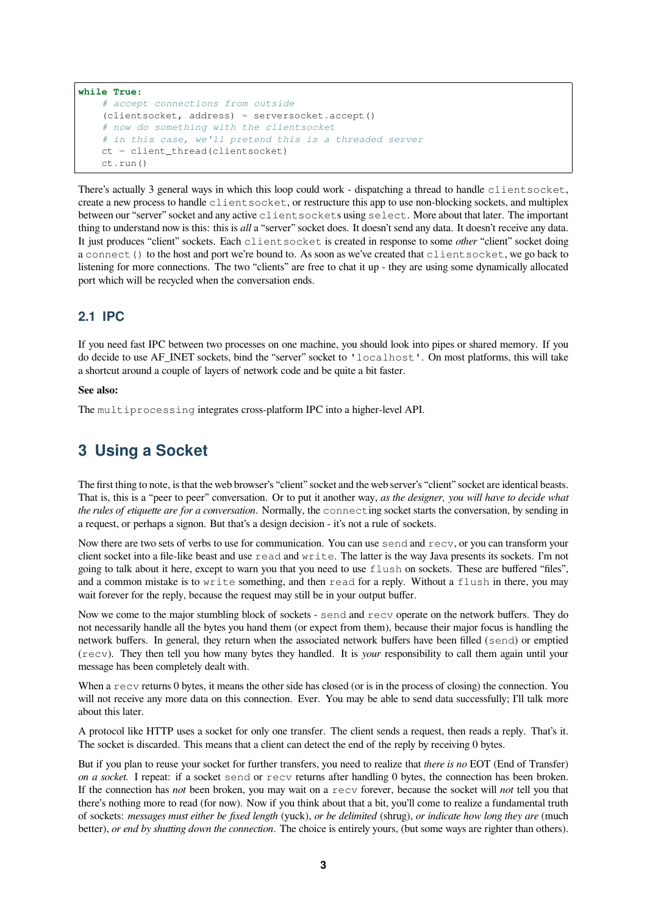```
while True:
    # accept connections from outside
    (clientsocket, address) = serversocket.accept()
    # now do something with the clientsocket
    # in this case, we'll pretend this is a threaded server
    ct = client_thread(clientsocket)
    ct.run()
```
There's actually 3 general ways in which this loop could work - dispatching a thread to handle clientsocket, create a new process to handle clientsocket, or restructure this app to use non-blocking sockets, and multiplex between our "server" socket and any active clientsockets using select. More about that later. The important thing to understand now is this: this is *all* a "server" socket does. It doesn't send any data. It doesn't receive any data. It just produces "client" sockets. Each clientsocket is created in response to some *other* "client" socket doing a connect () to the host and port we're bound to. As soon as we've created that clientsocket, we go back to listening for more connections. The two "clients" are free to chat it up - they are using some dynamically allocated port which will be recycled when the conversation ends.

## <span id="page-2-0"></span>**2.1 IPC**

If you need fast IPC between two processes on one machine, you should look into pipes or shared memory. If you do decide to use AF\_INET sockets, bind the "server" socket to 'localhost'. On most platforms, this will take a shortcut around a couple of layers of network code and be quite a bit faster.

#### **See also:**

The multiprocessing integrates cross-platform IPC into a higher-level API.

# <span id="page-2-1"></span>**3 Using a Socket**

The first thing to note, is that the web browser's "client" socket and the web server's "client" socket are identical beasts. That is, this is a "peer to peer" conversation. Or to put it another way, *as the designer, you will have to decide what the rules of etiquette are for a conversation*. Normally, the connecting socket starts the conversation, by sending in a request, or perhaps a signon. But that's a design decision - it's not a rule of sockets.

Now there are two sets of verbs to use for communication. You can use send and recv, or you can transform your client socket into a file-like beast and use read and write. The latter is the way Java presents its sockets. I'm not going to talk about it here, except to warn you that you need to use  $f$ lush on sockets. These are buffered "files", and a common mistake is to write something, and then read for a reply. Without a flush in there, you may wait forever for the reply, because the request may still be in your output buffer.

Now we come to the major stumbling block of sockets - send and recv operate on the network buffers. They do not necessarily handle all the bytes you hand them (or expect from them), because their major focus is handling the network buffers. In general, they return when the associated network buffers have been filled (send) or emptied (recv). They then tell you how many bytes they handled. It is *your* responsibility to call them again until your message has been completely dealt with.

When a recv returns 0 bytes, it means the other side has closed (or is in the process of closing) the connection. You will not receive any more data on this connection. Ever. You may be able to send data successfully; I'll talk more about this later.

A protocol like HTTP uses a socket for only one transfer. The client sends a request, then reads a reply. That's it. The socket is discarded. This means that a client can detect the end of the reply by receiving 0 bytes.

But if you plan to reuse your socket for further transfers, you need to realize that *there is no* EOT (End of Transfer) *on a socket.* I repeat: if a socket send or recv returns after handling 0 bytes, the connection has been broken. If the connection has *not* been broken, you may wait on a recv forever, because the socket will *not* tell you that there's nothing more to read (for now). Now if you think about that a bit, you'll come to realize a fundamental truth of sockets: *messages must either be fixed length* (yuck), *or be delimited* (shrug), *or indicate how long they are* (much better), *or end by shutting down the connection*. The choice is entirely yours, (but some ways are righter than others).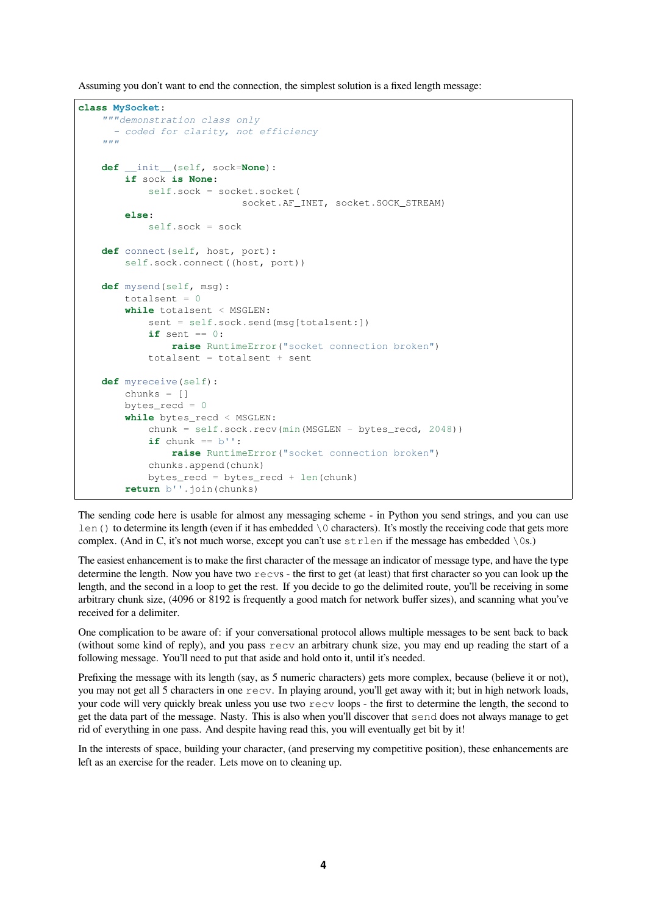Assuming you don't want to end the connection, the simplest solution is a fixed length message:

```
class MySocket:
    """demonstration class only
     - coded for clarity, not efficiency
    """
   def __init__(self, sock=None):
       if sock is None:
           self.sock = socket.socket(
                         socket.AF_INET, socket.SOCK_STREAM)
        else:
           self.sock = sockdef connect(self, host, port):
        self.sock.connect((host, port))
   def mysend(self, msg):
        totalsent = 0while totalsent < MSGLEN:
           sent = self.sock.send(msg[totalsent:])
           if sent == 0:
               raise RuntimeError("socket connection broken")
           totalsent = totalsent + sent
   def myreceive(self):
       chunks = \lceilbytes_recd = 0while bytes_recd < MSGLEN:
           chunk = self.sock.recv(min(MSGLEN - bytes_recd, 2048))
           if chunk == b'':raise RuntimeError("socket connection broken")
           chunks.append(chunk)
           bytes_recd = bytes_recd + len(chunk)
        return b''.join(chunks)
```
The sending code here is usable for almost any messaging scheme - in Python you send strings, and you can use len() to determine its length (even if it has embedded  $\setminus$  0 characters). It's mostly the receiving code that gets more complex. (And in C, it's not much worse, except you can't use strlen if the message has embedded \0s.)

The easiest enhancement is to make the first character of the message an indicator of message type, and have the type determine the length. Now you have two recvs - the first to get (at least) that first character so you can look up the length, and the second in a loop to get the rest. If you decide to go the delimited route, you'll be receiving in some arbitrary chunk size, (4096 or 8192 is frequently a good match for network buffer sizes), and scanning what you've received for a delimiter.

One complication to be aware of: if your conversational protocol allows multiple messages to be sent back to back (without some kind of reply), and you pass recv an arbitrary chunk size, you may end up reading the start of a following message. You'll need to put that aside and hold onto it, until it's needed.

Prefixing the message with its length (say, as 5 numeric characters) gets more complex, because (believe it or not), you may not get all 5 characters in one recv. In playing around, you'll get away with it; but in high network loads, your code will very quickly break unless you use two recv loops - the first to determine the length, the second to get the data part of the message. Nasty. This is also when you'll discover that send does not always manage to get rid of everything in one pass. And despite having read this, you will eventually get bit by it!

In the interests of space, building your character, (and preserving my competitive position), these enhancements are left as an exercise for the reader. Lets move on to cleaning up.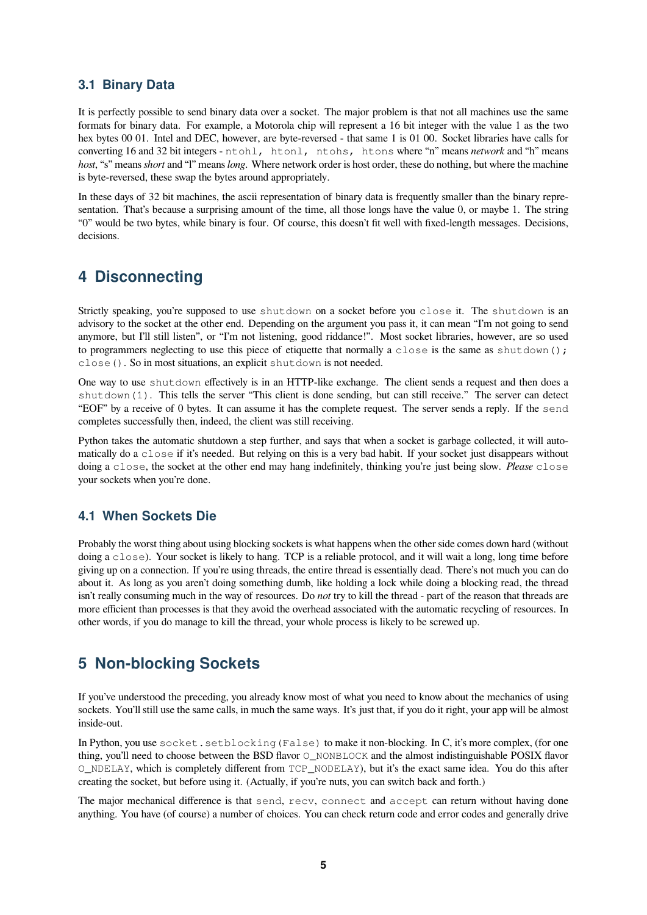### <span id="page-4-0"></span>**3.1 Binary Data**

It is perfectly possible to send binary data over a socket. The major problem is that not all machines use the same formats for binary data. For example, a Motorola chip will represent a 16 bit integer with the value 1 as the two hex bytes 00 01. Intel and DEC, however, are byte-reversed - that same 1 is 01 00. Socket libraries have calls for converting 16 and 32 bit integers - ntohl, htonl, ntohs, htons where "n" means *network* and "h" means *host*, "s" means *short* and "l" means *long*. Where network order is host order, these do nothing, but where the machine is byte-reversed, these swap the bytes around appropriately.

In these days of 32 bit machines, the ascii representation of binary data is frequently smaller than the binary representation. That's because a surprising amount of the time, all those longs have the value 0, or maybe 1. The string "0" would be two bytes, while binary is four. Of course, this doesn't fit well with fixed-length messages. Decisions, decisions.

## **4 Disconnecting**

Strictly speaking, you're supposed to use shutdown on a socket before you close it. The shutdown is an advisory to the socket at the other end. Depending on the argument you pass it, it can mean "I'm not going to send anymore, but I'll still listen", or "I'm not listening, good riddance!". Most socket libraries, however, are so used to programmers neglecting to use this piece of etiquette that normally a close is the same as shutdown(); close(). So in most situations, an explicit shutdown is not needed.

One way to use shutdown effectively is in an HTTP-like exchange. The client sends a request and then does a shutdown(1). This tells the server "This client is done sending, but can still receive." The server can detect "EOF" by a receive of 0 bytes. It can assume it has the complete request. The server sends a reply. If the send completes successfully then, indeed, the client was still receiving.

Python takes the automatic shutdown a step further, and says that when a socket is garbage collected, it will automatically do a close if it's needed. But relying on this is a very bad habit. If your socket just disappears without doing a close, the socket at the other end may hang indefinitely, thinking you're just being slow. *Please* close your sockets when you're done.

#### **4.1 When Sockets Die**

Probably the worst thing about using blocking sockets is what happens when the other side comes down hard (without doing a close). Your socket is likely to hang. TCP is a reliable protocol, and it will wait a long, long time before giving up on a connection. If you're using threads, the entire thread is essentially dead. There's not much you can do about it. As long as you aren't doing something dumb, like holding a lock while doing a blocking read, the thread isn't really consuming much in the way of resources. Do *not* try to kill the thread - part of the reason that threads are more efficient than processes is that they avoid the overhead associated with the automatic recycling of resources. In other words, if you do manage to kill the thread, your whole process is likely to be screwed up.

# <span id="page-4-1"></span>**5 Non-blocking Sockets**

If you've understood the preceding, you already know most of what you need to know about the mechanics of using sockets. You'll still use the same calls, in much the same ways. It's just that, if you do it right, your app will be almost inside-out.

In Python, you use socket.setblocking (False) to make it non-blocking. In C, it's more complex, (for one thing, you'll need to choose between the BSD flavor  $\circ$  NONBLOCK and the almost indistinguishable POSIX flavor O\_NDELAY, which is completely different from TCP\_NODELAY), but it's the exact same idea. You do this after creating the socket, but before using it. (Actually, if you're nuts, you can switch back and forth.)

The major mechanical difference is that send, recv, connect and accept can return without having done anything. You have (of course) a number of choices. You can check return code and error codes and generally drive